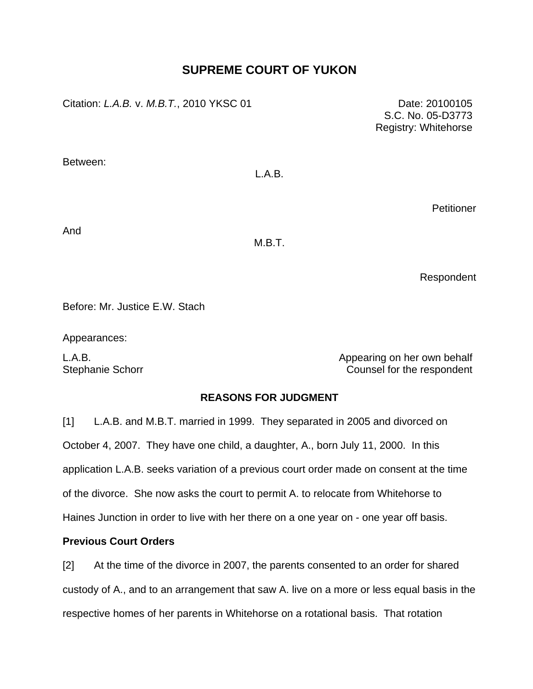# **SUPREME COURT OF YUKON**

Citation: *L.A.B.* v. *M.B.T.*, 2010 YKSC 01 Date: 20100105

Between:

# L.A.B.

**Petitioner** 

And

M.B.T.

Respondent

Before: Mr. Justice E.W. Stach

Appearances:

L.A.B. **All and Solution Contract Contract Contract Contract Contract Contract Contract Contract Contract Contract Contract Contract Contract Contract Contract Contract Contract Contract Contract Contract Contract Contract** Stephanie Schorr **Counsel for the respondent** 

## **REASONS FOR JUDGMENT**

[1] L.A.B. and M.B.T. married in 1999. They separated in 2005 and divorced on October 4, 2007. They have one child, a daughter, A., born July 11, 2000. In this application L.A.B. seeks variation of a previous court order made on consent at the time of the divorce. She now asks the court to permit A. to relocate from Whitehorse to Haines Junction in order to live with her there on a one year on - one year off basis.

## **Previous Court Orders**

[2] At the time of the divorce in 2007, the parents consented to an order for shared custody of A., and to an arrangement that saw A. live on a more or less equal basis in the respective homes of her parents in Whitehorse on a rotational basis. That rotation

S.C. No. 05-D3773 Registry: Whitehorse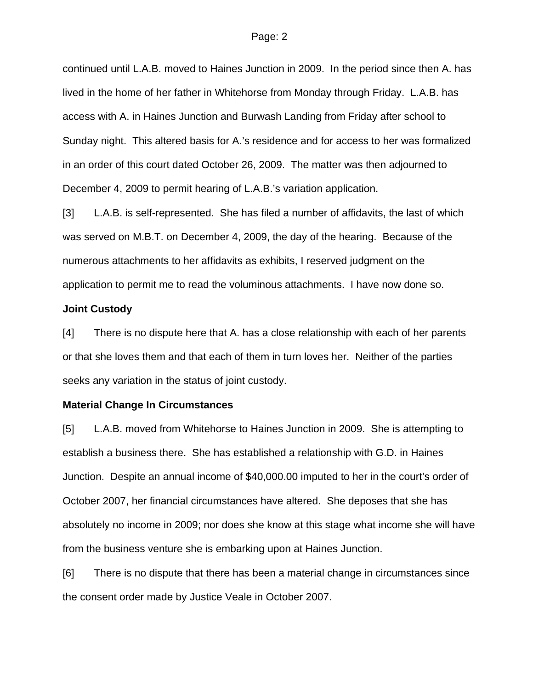continued until L.A.B. moved to Haines Junction in 2009. In the period since then A. has lived in the home of her father in Whitehorse from Monday through Friday. L.A.B. has access with A. in Haines Junction and Burwash Landing from Friday after school to Sunday night. This altered basis for A.'s residence and for access to her was formalized in an order of this court dated October 26, 2009. The matter was then adjourned to December 4, 2009 to permit hearing of L.A.B.'s variation application.

[3] L.A.B. is self-represented. She has filed a number of affidavits, the last of which was served on M.B.T. on December 4, 2009, the day of the hearing. Because of the numerous attachments to her affidavits as exhibits, I reserved judgment on the application to permit me to read the voluminous attachments. I have now done so.

#### **Joint Custody**

[4] There is no dispute here that A. has a close relationship with each of her parents or that she loves them and that each of them in turn loves her. Neither of the parties seeks any variation in the status of joint custody.

#### **Material Change In Circumstances**

[5] L.A.B. moved from Whitehorse to Haines Junction in 2009. She is attempting to establish a business there. She has established a relationship with G.D. in Haines Junction. Despite an annual income of \$40,000.00 imputed to her in the court's order of October 2007, her financial circumstances have altered. She deposes that she has absolutely no income in 2009; nor does she know at this stage what income she will have from the business venture she is embarking upon at Haines Junction.

[6] There is no dispute that there has been a material change in circumstances since the consent order made by Justice Veale in October 2007.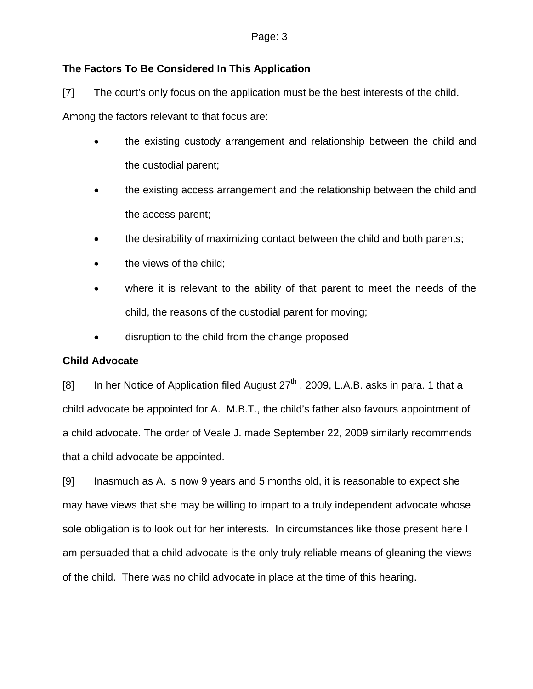## **The Factors To Be Considered In This Application**

[7] The court's only focus on the application must be the best interests of the child.

Among the factors relevant to that focus are:

- the existing custody arrangement and relationship between the child and the custodial parent;
- the existing access arrangement and the relationship between the child and the access parent;
- the desirability of maximizing contact between the child and both parents;
- the views of the child;
- where it is relevant to the ability of that parent to meet the needs of the child, the reasons of the custodial parent for moving;
- disruption to the child from the change proposed

## **Child Advocate**

[8] In her Notice of Application filed August  $27<sup>th</sup>$ , 2009, L.A.B. asks in para. 1 that a child advocate be appointed for A. M.B.T., the child's father also favours appointment of a child advocate. The order of Veale J. made September 22, 2009 similarly recommends that a child advocate be appointed.

[9] Inasmuch as A. is now 9 years and 5 months old, it is reasonable to expect she may have views that she may be willing to impart to a truly independent advocate whose sole obligation is to look out for her interests. In circumstances like those present here I am persuaded that a child advocate is the only truly reliable means of gleaning the views of the child. There was no child advocate in place at the time of this hearing.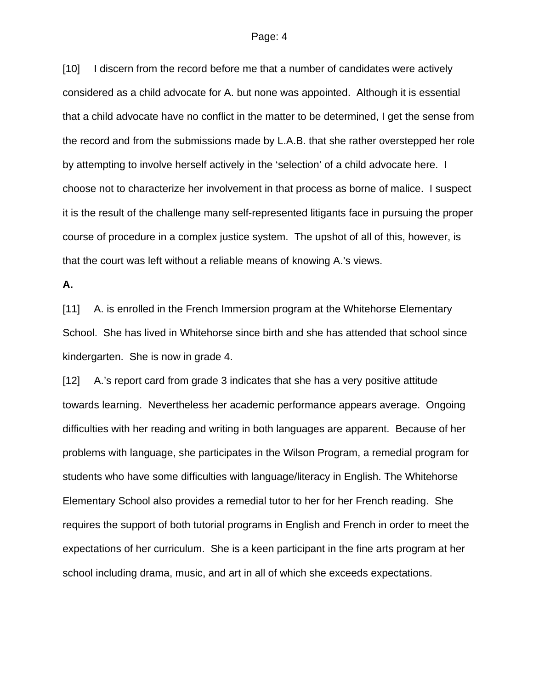[10] I discern from the record before me that a number of candidates were actively considered as a child advocate for A. but none was appointed. Although it is essential that a child advocate have no conflict in the matter to be determined, I get the sense from the record and from the submissions made by L.A.B. that she rather overstepped her role by attempting to involve herself actively in the 'selection' of a child advocate here. I choose not to characterize her involvement in that process as borne of malice. I suspect it is the result of the challenge many self-represented litigants face in pursuing the proper course of procedure in a complex justice system. The upshot of all of this, however, is that the court was left without a reliable means of knowing A.'s views.

## **A.**

[11] A. is enrolled in the French Immersion program at the Whitehorse Elementary School. She has lived in Whitehorse since birth and she has attended that school since kindergarten. She is now in grade 4.

[12] A.'s report card from grade 3 indicates that she has a very positive attitude towards learning. Nevertheless her academic performance appears average. Ongoing difficulties with her reading and writing in both languages are apparent. Because of her problems with language, she participates in the Wilson Program, a remedial program for students who have some difficulties with language/literacy in English. The Whitehorse Elementary School also provides a remedial tutor to her for her French reading. She requires the support of both tutorial programs in English and French in order to meet the expectations of her curriculum. She is a keen participant in the fine arts program at her school including drama, music, and art in all of which she exceeds expectations.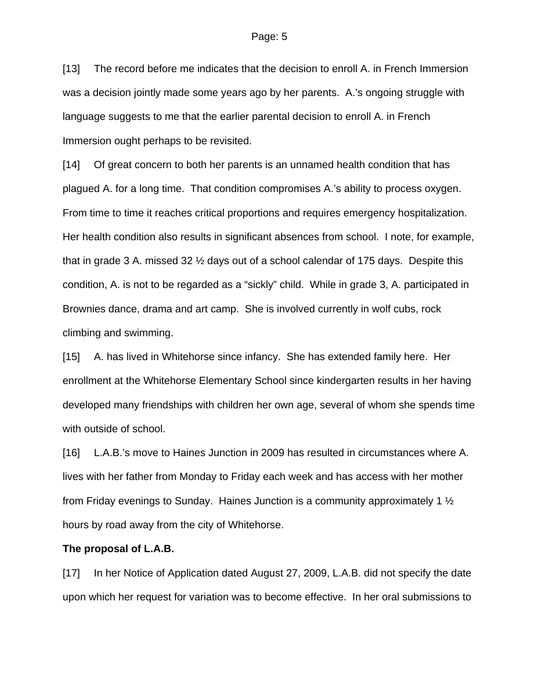[13] The record before me indicates that the decision to enroll A. in French Immersion was a decision jointly made some years ago by her parents. A.'s ongoing struggle with language suggests to me that the earlier parental decision to enroll A. in French Immersion ought perhaps to be revisited.

[14] Of great concern to both her parents is an unnamed health condition that has plagued A. for a long time. That condition compromises A.'s ability to process oxygen. From time to time it reaches critical proportions and requires emergency hospitalization. Her health condition also results in significant absences from school. I note, for example, that in grade 3 A. missed 32 ½ days out of a school calendar of 175 days. Despite this condition, A. is not to be regarded as a "sickly" child. While in grade 3, A. participated in Brownies dance, drama and art camp. She is involved currently in wolf cubs, rock climbing and swimming.

[15] A. has lived in Whitehorse since infancy. She has extended family here. Her enrollment at the Whitehorse Elementary School since kindergarten results in her having developed many friendships with children her own age, several of whom she spends time with outside of school.

[16] L.A.B.'s move to Haines Junction in 2009 has resulted in circumstances where A. lives with her father from Monday to Friday each week and has access with her mother from Friday evenings to Sunday. Haines Junction is a community approximately 1 ½ hours by road away from the city of Whitehorse.

#### **The proposal of L.A.B.**

[17] In her Notice of Application dated August 27, 2009, L.A.B. did not specify the date upon which her request for variation was to become effective. In her oral submissions to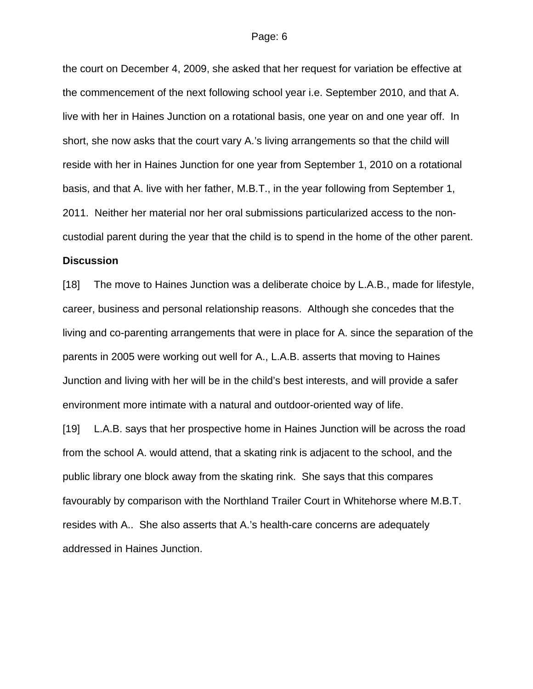the court on December 4, 2009, she asked that her request for variation be effective at the commencement of the next following school year i.e. September 2010, and that A. live with her in Haines Junction on a rotational basis, one year on and one year off. In short, she now asks that the court vary A.'s living arrangements so that the child will reside with her in Haines Junction for one year from September 1, 2010 on a rotational basis, and that A. live with her father, M.B.T., in the year following from September 1, 2011. Neither her material nor her oral submissions particularized access to the noncustodial parent during the year that the child is to spend in the home of the other parent.

## **Discussion**

[18] The move to Haines Junction was a deliberate choice by L.A.B., made for lifestyle, career, business and personal relationship reasons. Although she concedes that the living and co-parenting arrangements that were in place for A. since the separation of the parents in 2005 were working out well for A., L.A.B. asserts that moving to Haines Junction and living with her will be in the child's best interests, and will provide a safer environment more intimate with a natural and outdoor-oriented way of life.

[19] L.A.B. says that her prospective home in Haines Junction will be across the road from the school A. would attend, that a skating rink is adjacent to the school, and the public library one block away from the skating rink. She says that this compares favourably by comparison with the Northland Trailer Court in Whitehorse where M.B.T. resides with A.. She also asserts that A.'s health-care concerns are adequately addressed in Haines Junction.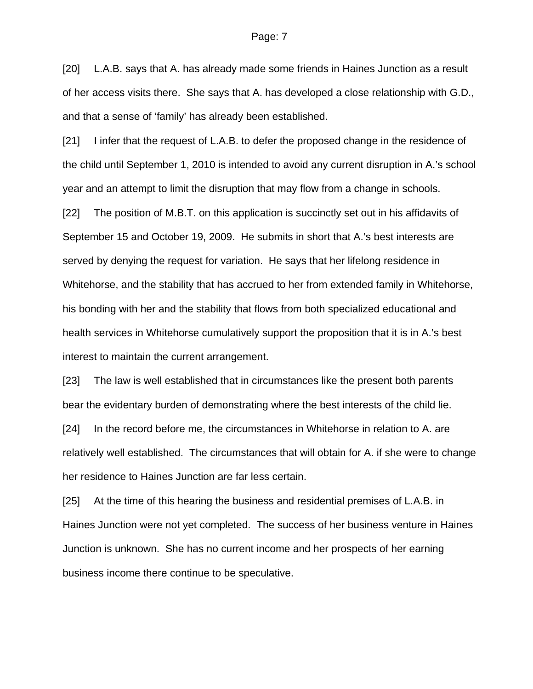[20] L.A.B. says that A. has already made some friends in Haines Junction as a result of her access visits there. She says that A. has developed a close relationship with G.D., and that a sense of 'family' has already been established.

[21] I infer that the request of L.A.B. to defer the proposed change in the residence of the child until September 1, 2010 is intended to avoid any current disruption in A.'s school year and an attempt to limit the disruption that may flow from a change in schools.

[22] The position of M.B.T. on this application is succinctly set out in his affidavits of September 15 and October 19, 2009. He submits in short that A.'s best interests are served by denying the request for variation. He says that her lifelong residence in Whitehorse, and the stability that has accrued to her from extended family in Whitehorse, his bonding with her and the stability that flows from both specialized educational and health services in Whitehorse cumulatively support the proposition that it is in A.'s best interest to maintain the current arrangement.

[23] The law is well established that in circumstances like the present both parents bear the evidentary burden of demonstrating where the best interests of the child lie.

[24] In the record before me, the circumstances in Whitehorse in relation to A. are relatively well established. The circumstances that will obtain for A. if she were to change her residence to Haines Junction are far less certain.

[25] At the time of this hearing the business and residential premises of L.A.B. in Haines Junction were not yet completed. The success of her business venture in Haines Junction is unknown. She has no current income and her prospects of her earning business income there continue to be speculative.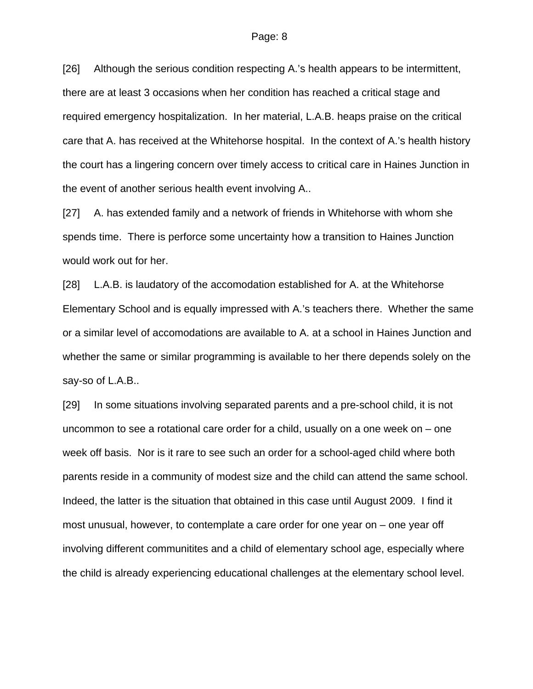[26] Although the serious condition respecting A.'s health appears to be intermittent, there are at least 3 occasions when her condition has reached a critical stage and required emergency hospitalization. In her material, L.A.B. heaps praise on the critical care that A. has received at the Whitehorse hospital. In the context of A.'s health history the court has a lingering concern over timely access to critical care in Haines Junction in the event of another serious health event involving A..

[27] A. has extended family and a network of friends in Whitehorse with whom she spends time. There is perforce some uncertainty how a transition to Haines Junction would work out for her.

[28] L.A.B. is laudatory of the accomodation established for A. at the Whitehorse Elementary School and is equally impressed with A.'s teachers there. Whether the same or a similar level of accomodations are available to A. at a school in Haines Junction and whether the same or similar programming is available to her there depends solely on the say-so of L.A.B..

[29] In some situations involving separated parents and a pre-school child, it is not uncommon to see a rotational care order for a child, usually on a one week on – one week off basis. Nor is it rare to see such an order for a school-aged child where both parents reside in a community of modest size and the child can attend the same school. Indeed, the latter is the situation that obtained in this case until August 2009. I find it most unusual, however, to contemplate a care order for one year on – one year off involving different communitites and a child of elementary school age, especially where the child is already experiencing educational challenges at the elementary school level.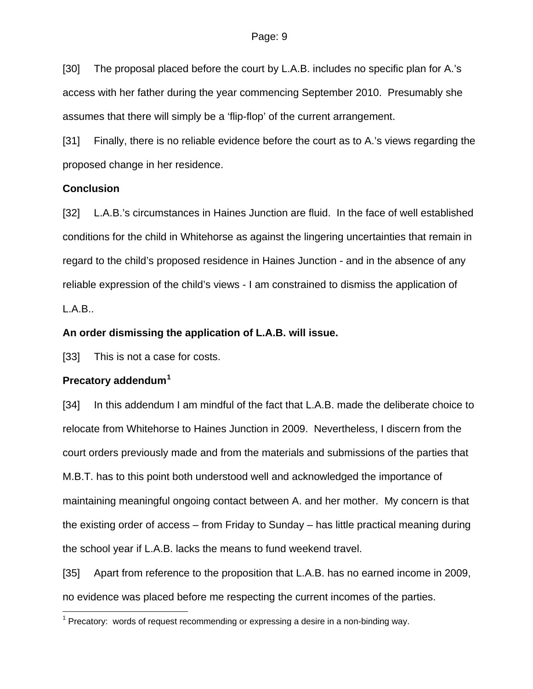[30] The proposal placed before the court by L.A.B. includes no specific plan for A.'s access with her father during the year commencing September 2010. Presumably she assumes that there will simply be a 'flip-flop' of the current arrangement.

[31] Finally, there is no reliable evidence before the court as to A.'s views regarding the proposed change in her residence.

### **Conclusion**

[32] L.A.B.'s circumstances in Haines Junction are fluid. In the face of well established conditions for the child in Whitehorse as against the lingering uncertainties that remain in regard to the child's proposed residence in Haines Junction - and in the absence of any reliable expression of the child's views - I am constrained to dismiss the application of L.A.B..

### **An order dismissing the application of L.A.B. will issue.**

[33] This is not a case for costs.

## **Precatory addendum[1](#page-8-0)**

 $\overline{a}$ 

[34] In this addendum I am mindful of the fact that L.A.B. made the deliberate choice to relocate from Whitehorse to Haines Junction in 2009. Nevertheless, I discern from the court orders previously made and from the materials and submissions of the parties that M.B.T. has to this point both understood well and acknowledged the importance of maintaining meaningful ongoing contact between A. and her mother. My concern is that the existing order of access – from Friday to Sunday – has little practical meaning during the school year if L.A.B. lacks the means to fund weekend travel.

[35] Apart from reference to the proposition that L.A.B. has no earned income in 2009, no evidence was placed before me respecting the current incomes of the parties.

<span id="page-8-0"></span><sup>&</sup>lt;sup>1</sup> Precatory: words of request recommending or expressing a desire in a non-binding way.